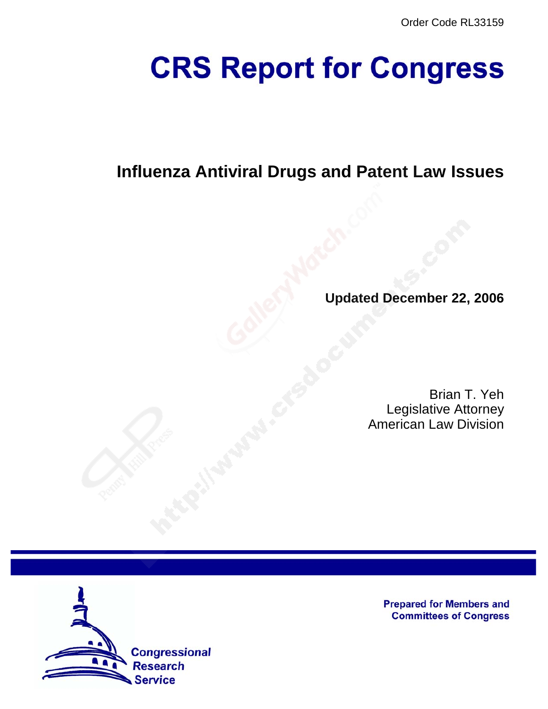# **CRS Report for Congress**

## **Influenza Antiviral Drugs and Patent Law Issues**

**Updated December 22, 2006**

Brian T. Yeh Legislative Attorney American Law Division



**Prepared for Members and Committees of Congress**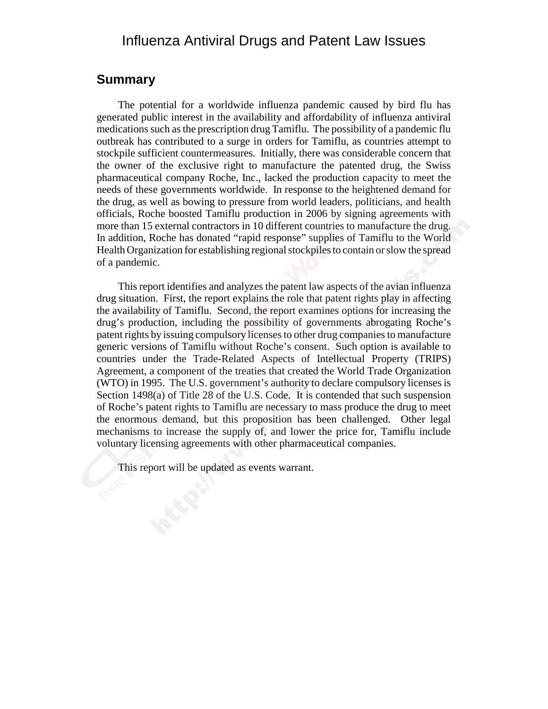### Influenza Antiviral Drugs and Patent Law Issues

### **Summary**

The potential for a worldwide influenza pandemic caused by bird flu has generated public interest in the availability and affordability of influenza antiviral medications such as the prescription drug Tamiflu. The possibility of a pandemic flu outbreak has contributed to a surge in orders for Tamiflu, as countries attempt to stockpile sufficient countermeasures. Initially, there was considerable concern that the owner of the exclusive right to manufacture the patented drug, the Swiss pharmaceutical company Roche, Inc., lacked the production capacity to meet the needs of these governments worldwide. In response to the heightened demand for the drug, as well as bowing to pressure from world leaders, politicians, and health officials, Roche boosted Tamiflu production in 2006 by signing agreements with more than 15 external contractors in 10 different countries to manufacture the drug. In addition, Roche has donated "rapid response" supplies of Tamiflu to the World Health Organization for establishing regional stockpiles to contain or slow the spread of a pandemic.

This report identifies and analyzes the patent law aspects of the avian influenza drug situation. First, the report explains the role that patent rights play in affecting the availability of Tamiflu. Second, the report examines options for increasing the drug's production, including the possibility of governments abrogating Roche's patent rights by issuing compulsory licenses to other drug companies to manufacture generic versions of Tamiflu without Roche's consent. Such option is available to countries under the Trade-Related Aspects of Intellectual Property (TRIPS) Agreement, a component of the treaties that created the World Trade Organization (WTO) in 1995. The U.S. government's authority to declare compulsory licenses is Section 1498(a) of Title 28 of the U.S. Code. It is contended that such suspension of Roche's patent rights to Tamiflu are necessary to mass produce the drug to meet the enormous demand, but this proposition has been challenged. Other legal mechanisms to increase the supply of, and lower the price for, Tamiflu include voluntary licensing agreements with other pharmaceutical companies.

This report will be updated as events warrant.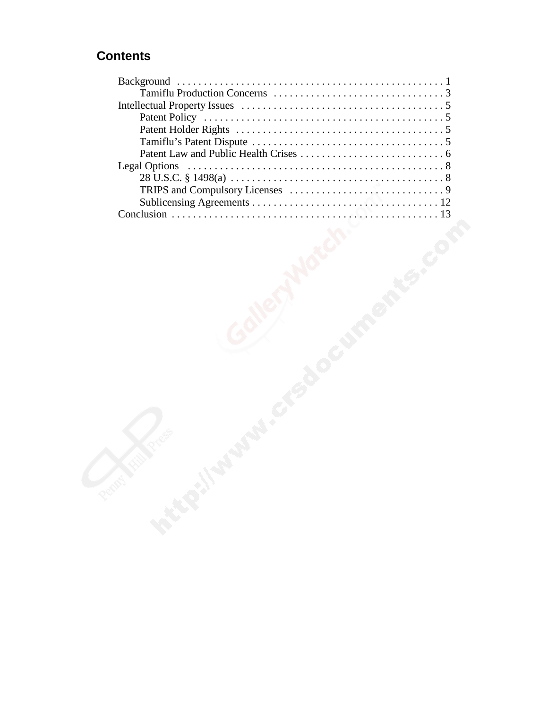### **Contents**

| <b>Legal Options</b> |  |  |
|----------------------|--|--|
|                      |  |  |
|                      |  |  |
|                      |  |  |
|                      |  |  |
|                      |  |  |
|                      |  |  |
|                      |  |  |
|                      |  |  |
|                      |  |  |
|                      |  |  |
|                      |  |  |
|                      |  |  |
|                      |  |  |
|                      |  |  |
|                      |  |  |
|                      |  |  |
|                      |  |  |
|                      |  |  |
|                      |  |  |
|                      |  |  |
|                      |  |  |
|                      |  |  |
| <b>Processity</b>    |  |  |
|                      |  |  |
|                      |  |  |
|                      |  |  |
|                      |  |  |
|                      |  |  |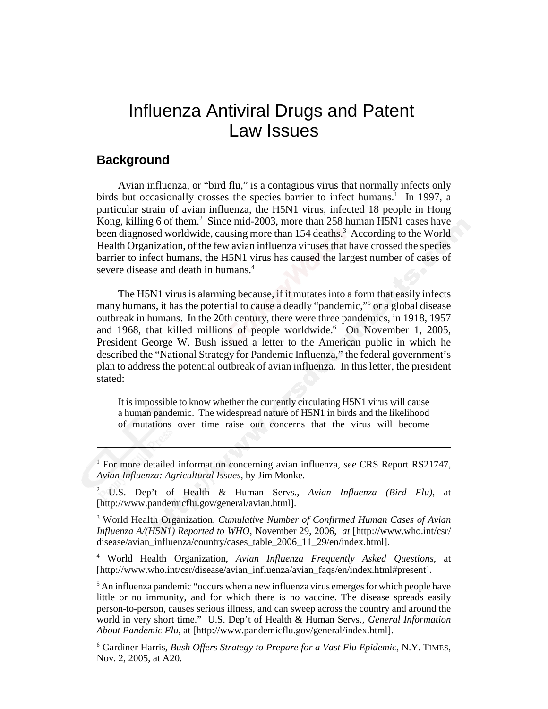### Influenza Antiviral Drugs and Patent Law Issues

### **Background**

Avian influenza, or "bird flu," is a contagious virus that normally infects only birds but occasionally crosses the species barrier to infect humans.<sup>1</sup> In 1997, a particular strain of avian influenza, the H5N1 virus, infected 18 people in Hong Kong, killing 6 of them.<sup>2</sup> Since mid-2003, more than 258 human H5N1 cases have been diagnosed worldwide, causing more than 154 deaths.<sup>3</sup> According to the World Health Organization, of the few avian influenza viruses that have crossed the species barrier to infect humans, the H5N1 virus has caused the largest number of cases of severe disease and death in humans.<sup>4</sup>

The H5N1 virus is alarming because, if it mutates into a form that easily infects many humans, it has the potential to cause a deadly "pandemic,"5 or a global disease outbreak in humans. In the 20th century, there were three pandemics, in 1918, 1957 and 1968, that killed millions of people worldwide.<sup>6</sup> On November 1, 2005, President George W. Bush issued a letter to the American public in which he described the "National Strategy for Pandemic Influenza," the federal government's plan to address the potential outbreak of avian influenza. In this letter, the president stated:

It is impossible to know whether the currently circulating H5N1 virus will cause a human pandemic. The widespread nature of H5N1 in birds and the likelihood of mutations over time raise our concerns that the virus will become

4 World Health Organization, *Avian Influenza Frequently Asked Questions,* at [http://www.who.int/csr/disease/avian\_influenza/avian\_faqs/en/index.html#present].

<sup>&</sup>lt;sup>1</sup> For more detailed information concerning avian influenza, see CRS Report RS21747, *Avian Influenza: Agricultural Issues,* by Jim Monke.

<sup>2</sup> U.S. Dep't of Health & Human Servs., *Avian Influenza (Bird Flu),* at [http://www.pandemicflu.gov/general/avian.html].

<sup>3</sup> World Health Organization, *Cumulative Number of Confirmed Human Cases of Avian Influenza A/(H5N1) Reported to WHO,* November 29, 2006, *at* [http://www.who.int/csr/ disease/avian\_influenza/country/cases\_table\_2006\_11\_29/en/index.html].

 $<sup>5</sup>$  An influenza pandemic "occurs when a new influenza virus emerges for which people have</sup> little or no immunity, and for which there is no vaccine. The disease spreads easily person-to-person, causes serious illness, and can sweep across the country and around the world in very short time." U.S. Dep't of Health & Human Servs., *General Information About Pandemic Flu*, at [http://www.pandemicflu.gov/general/index.html].

<sup>6</sup> Gardiner Harris, *Bush Offers Strategy to Prepare for a Vast Flu Epidemic,* N.Y. TIMES, Nov. 2, 2005, at A20.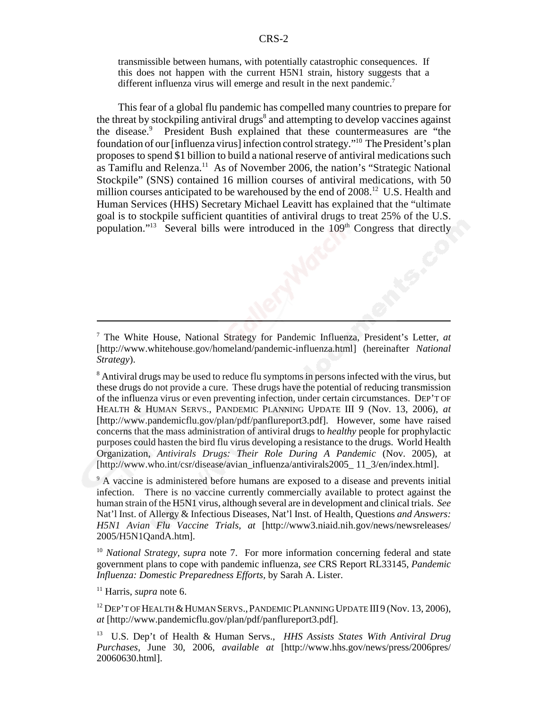transmissible between humans, with potentially catastrophic consequences. If this does not happen with the current H5N1 strain, history suggests that a different influenza virus will emerge and result in the next pandemic.<sup>7</sup>

This fear of a global flu pandemic has compelled many countries to prepare for the threat by stockpiling antiviral drugs<sup>8</sup> and attempting to develop vaccines against the disease.<sup>9</sup> President Bush explained that these countermeasures are "the foundation of our [influenza virus] infection control strategy."10 The President's plan proposes to spend \$1 billion to build a national reserve of antiviral medications such as Tamiflu and Relenza.<sup>11</sup> As of November 2006, the nation's "Strategic National Stockpile" (SNS) contained 16 million courses of antiviral medications, with 50 million courses anticipated to be warehoused by the end of 2008.<sup>12</sup> U.S. Health and Human Services (HHS) Secretary Michael Leavitt has explained that the "ultimate goal is to stockpile sufficient quantities of antiviral drugs to treat 25% of the U.S. population."<sup>13</sup> Several bills were introduced in the  $109<sup>th</sup>$  Congress that directly

<sup>9</sup> A vaccine is administered before humans are exposed to a disease and prevents initial infection. There is no vaccine currently commercially available to protect against the human strain of the H5N1 virus, although several are in development and clinical trials. *See* Nat'l Inst. of Allergy & Infectious Diseases, Nat'l Inst. of Health, Questions *and Answers: H5N1 Avian Flu Vaccine Trials, at* [http://www3.niaid.nih.gov/news/newsreleases/ 2005/H5N1QandA.htm].

<sup>10</sup> *National Strategy, supra* note 7. For more information concerning federal and state government plans to cope with pandemic influenza, *see* CRS Report RL33145, *Pandemic Influenza: Domestic Preparedness Efforts,* by Sarah A. Lister.

11 Harris, *supra* note 6.

<sup>12</sup> DEP'T OF HEALTH & HUMAN SERVS., PANDEMIC PLANNING UPDATE III 9 (Nov. 13, 2006), *at* [http://www.pandemicflu.gov/plan/pdf/panflureport3.pdf].

13 U.S. Dep't of Health & Human Servs., *HHS Assists States With Antiviral Drug Purchases,* June 30, 2006, *available at* [http://www.hhs.gov/news/press/2006pres/ 20060630.html].

<sup>7</sup> The White House, National Strategy for Pandemic Influenza, President's Letter, *at* [http://www.whitehouse.gov/homeland/pandemic-influenza.html] (hereinafter *National Strategy*).

<sup>&</sup>lt;sup>8</sup> Antiviral drugs may be used to reduce flu symptoms in persons infected with the virus, but these drugs do not provide a cure. These drugs have the potential of reducing transmission of the influenza virus or even preventing infection, under certain circumstances. DEP'T OF HEALTH & HUMAN SERVS., PANDEMIC PLANNING UPDATE III 9 (Nov. 13, 2006), *at* [http://www.pandemicflu.gov/plan/pdf/panflureport3.pdf]. However, some have raised concerns that the mass administration of antiviral drugs to *healthy* people for prophylactic purposes could hasten the bird flu virus developing a resistance to the drugs. World Health Organization, *Antivirals Drugs: Their Role During A Pandemic* (Nov. 2005), at [http://www.who.int/csr/disease/avian\_influenza/antivirals2005\_ 11\_3/en/index.html].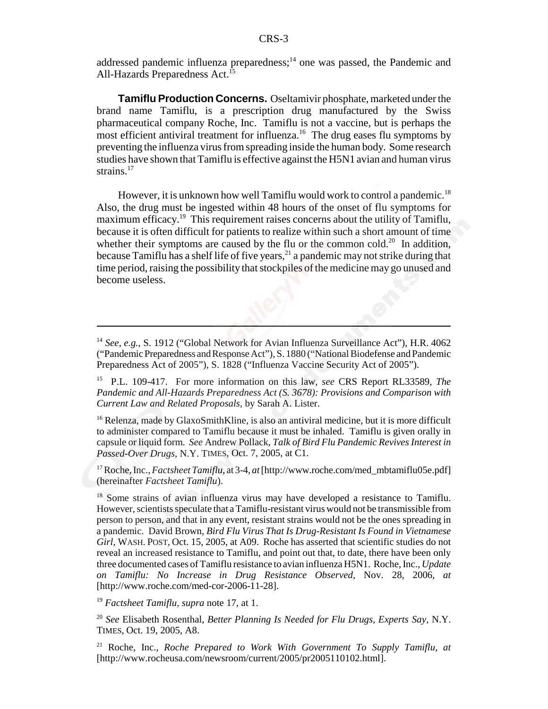addressed pandemic influenza preparedness;<sup>14</sup> one was passed, the Pandemic and All-Hazards Preparedness Act.<sup>15</sup>

**Tamiflu Production Concerns.** Oseltamivir phosphate, marketed under the brand name Tamiflu, is a prescription drug manufactured by the Swiss pharmaceutical company Roche, Inc. Tamiflu is not a vaccine, but is perhaps the most efficient antiviral treatment for influenza.<sup>16</sup> The drug eases flu symptoms by preventing the influenza virus from spreading inside the human body. Some research studies have shown that Tamiflu is effective against the H5N1 avian and human virus strains.<sup>17</sup>

However, it is unknown how well Tamiflu would work to control a pandemic.<sup>18</sup> Also, the drug must be ingested within 48 hours of the onset of flu symptoms for maximum efficacy.<sup>19</sup> This requirement raises concerns about the utility of Tamiflu, because it is often difficult for patients to realize within such a short amount of time whether their symptoms are caused by the flu or the common cold.<sup>20</sup> In addition, because Tamiflu has a shelf life of five years,  $21$  a pandemic may not strike during that time period, raising the possibility that stockpiles of the medicine may go unused and become useless.

<sup>14</sup> *See, e.g.,* S. 1912 ("Global Network for Avian Influenza Surveillance Act"), H.R. 4062 ("Pandemic Preparedness and Response Act"), S. 1880 ("National Biodefense and Pandemic Preparedness Act of 2005"), S. 1828 ("Influenza Vaccine Security Act of 2005").

<sup>15</sup> P.L. 109-417. For more information on this law, *see* CRS Report RL33589, *The Pandemic and All-Hazards Preparedness Act (S. 3678): Provisions and Comparison with Current Law and Related Proposals,* by Sarah A. Lister.

 $16$  Relenza, made by GlaxoSmithKline, is also an antiviral medicine, but it is more difficult to administer compared to Tamiflu because it must be inhaled. Tamiflu is given orally in capsule or liquid form. *See* Andrew Pollack, *Talk of Bird Flu Pandemic Revives Interest in Passed-Over Drugs,* N.Y. TIMES, Oct. 7, 2005, at C1.

<sup>&</sup>lt;sup>17</sup> Roche, Inc., *Factsheet Tamiflu*, at 3-4, *at* [http://www.roche.com/med\_mbtamiflu05e.pdf] (hereinafter *Factsheet Tamiflu*).

<sup>&</sup>lt;sup>18</sup> Some strains of avian influenza virus may have developed a resistance to Tamiflu. However, scientists speculate that a Tamiflu-resistant virus would not be transmissible from person to person, and that in any event, resistant strains would not be the ones spreading in a pandemic. David Brown, *Bird Flu Virus That Is Drug-Resistant Is Found in Vietnamese Girl,* WASH. POST, Oct. 15, 2005, at A09. Roche has asserted that scientific studies do not reveal an increased resistance to Tamiflu, and point out that, to date, there have been only three documented cases of Tamiflu resistance to avian influenza H5N1. Roche, Inc., *Update on Tamiflu: No Increase in Drug Resistance Observed,* Nov. 28, 2006, *at* [http://www.roche.com/med-cor-2006-11-28].

<sup>19</sup> *Factsheet Tamiflu, supra* note 17, at 1.

<sup>20</sup> *See* Elisabeth Rosenthal, *Better Planning Is Needed for Flu Drugs, Experts Say,* N.Y. TIMES, Oct. 19, 2005, A8.

<sup>21</sup> Roche, Inc., *Roche Prepared to Work With Government To Supply Tamiflu, at* [http://www.rocheusa.com/newsroom/current/2005/pr2005110102.html].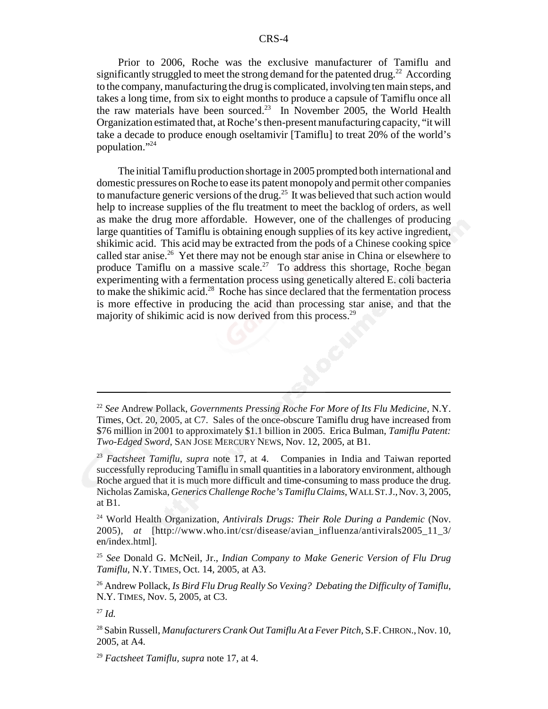Prior to 2006, Roche was the exclusive manufacturer of Tamiflu and significantly struggled to meet the strong demand for the patented drug.<sup>22</sup> According to the company, manufacturing the drug is complicated, involving ten main steps, and takes a long time, from six to eight months to produce a capsule of Tamiflu once all the raw materials have been sourced.<sup>23</sup> In November 2005, the World Health Organization estimated that, at Roche's then-present manufacturing capacity, "it will take a decade to produce enough oseltamivir [Tamiflu] to treat 20% of the world's population."24

The initial Tamiflu production shortage in 2005 prompted both international and domestic pressures on Roche to ease its patent monopoly and permit other companies to manufacture generic versions of the drug.<sup>25</sup> It was believed that such action would help to increase supplies of the flu treatment to meet the backlog of orders, as well as make the drug more affordable. However, one of the challenges of producing large quantities of Tamiflu is obtaining enough supplies of its key active ingredient, shikimic acid. This acid may be extracted from the pods of a Chinese cooking spice called star anise.<sup>26</sup> Yet there may not be enough star anise in China or elsewhere to produce Tamiflu on a massive scale.<sup>27</sup> To address this shortage, Roche began experimenting with a fermentation process using genetically altered E. coli bacteria to make the shikimic acid.<sup>28</sup> Roche has since declared that the fermentation process is more effective in producing the acid than processing star anise, and that the majority of shikimic acid is now derived from this process.<sup>29</sup>

<sup>25</sup> *See* Donald G. McNeil, Jr., *Indian Company to Make Generic Version of Flu Drug Tamiflu*, N.Y. TIMES, Oct. 14, 2005, at A3.

26 Andrew Pollack, *Is Bird Flu Drug Really So Vexing? Debating the Difficulty of Tamiflu*, N.Y. TIMES, Nov. 5, 2005, at C3.

<sup>22</sup> *See* Andrew Pollack, *Governments Pressing Roche For More of Its Flu Medicine,* N.Y. Times, Oct. 20, 2005, at C7. Sales of the once-obscure Tamiflu drug have increased from \$76 million in 2001 to approximately \$1.1 billion in 2005. Erica Bulman, *Tamiflu Patent: Two-Edged Sword*, SAN JOSE MERCURY NEWS, Nov. 12, 2005, at B1.

<sup>23</sup> *Factsheet Tamiflu*, *supra* note 17, at 4. Companies in India and Taiwan reported successfully reproducing Tamiflu in small quantities in a laboratory environment, although Roche argued that it is much more difficult and time-consuming to mass produce the drug. Nicholas Zamiska, *Generics Challenge Roche's Tamiflu Claims*, WALL ST.J.,Nov. 3, 2005, at B1.

<sup>24</sup> World Health Organization, *Antivirals Drugs: Their Role During a Pandemic* (Nov. 2005), *at* [http://www.who.int/csr/disease/avian\_influenza/antivirals2005\_11\_3/ en/index.html].

<sup>27</sup> *Id.*

<sup>28</sup> Sabin Russell, *Manufacturers Crank Out Tamiflu At a Fever Pitch,* S.F.CHRON.,Nov. 10, 2005, at A4.

<sup>29</sup> *Factsheet Tamiflu, supra* note 17, at 4.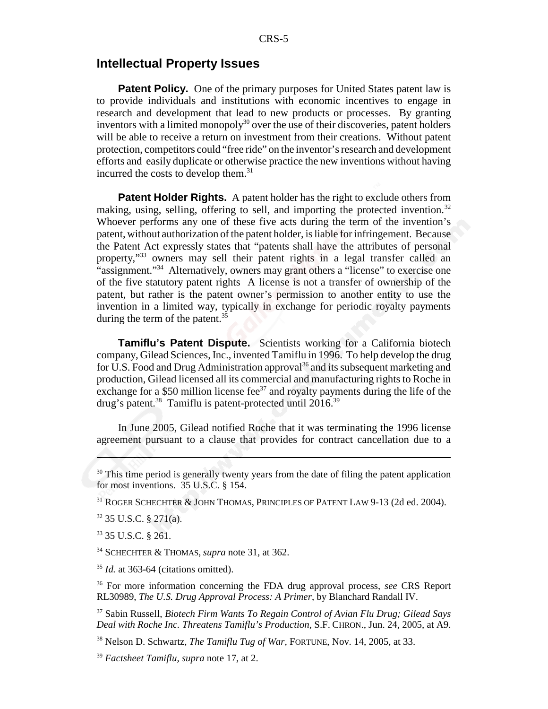### **Intellectual Property Issues**

**Patent Policy.** One of the primary purposes for United States patent law is to provide individuals and institutions with economic incentives to engage in research and development that lead to new products or processes. By granting inventors with a limited monopoly $30$  over the use of their discoveries, patent holders will be able to receive a return on investment from their creations. Without patent protection, competitors could "free ride" on the inventor's research and development efforts and easily duplicate or otherwise practice the new inventions without having incurred the costs to develop them.<sup>31</sup>

**Patent Holder Rights.** A patent holder has the right to exclude others from making, using, selling, offering to sell, and importing the protected invention.<sup>32</sup> Whoever performs any one of these five acts during the term of the invention's patent, without authorization of the patent holder, is liable for infringement. Because the Patent Act expressly states that "patents shall have the attributes of personal property,"<sup>33</sup> owners may sell their patent rights in a legal transfer called an "assignment."<sup>34</sup> Alternatively, owners may grant others a "license" to exercise one of the five statutory patent rights A license is not a transfer of ownership of the patent, but rather is the patent owner's permission to another entity to use the invention in a limited way, typically in exchange for periodic royalty payments during the term of the patent.<sup>35</sup>

**Tamiflu's Patent Dispute.** Scientists working for a California biotech company, Gilead Sciences, Inc., invented Tamiflu in 1996. To help develop the drug for U.S. Food and Drug Administration approval<sup>36</sup> and its subsequent marketing and production, Gilead licensed all its commercial and manufacturing rights to Roche in exchange for a \$50 million license fee<sup>37</sup> and royalty payments during the life of the drug's patent.<sup>38</sup> Tamiflu is patent-protected until 2016.<sup>39</sup>

In June 2005, Gilead notified Roche that it was terminating the 1996 license agreement pursuant to a clause that provides for contract cancellation due to a

32 35 U.S.C. § 271(a).

33 35 U.S.C. § 261.

34 SCHECHTER & THOMAS, *supra* note 31, at 362.

<sup>35</sup> *Id.* at 363-64 (citations omitted).

36 For more information concerning the FDA drug approval process, *see* CRS Report RL30989, *The U.S. Drug Approval Process: A Primer*, by Blanchard Randall IV.

37 Sabin Russell, *Biotech Firm Wants To Regain Control of Avian Flu Drug; Gilead Says Deal with Roche Inc. Threatens Tamiflu's Production,* S.F. CHRON., Jun. 24, 2005, at A9.

38 Nelson D. Schwartz, *The Tamiflu Tug of War,* FORTUNE, Nov. 14, 2005, at 33.

<sup>39</sup> *Factsheet Tamiflu*, *supra* note 17, at 2.

 $30$  This time period is generally twenty years from the date of filing the patent application for most inventions. 35 U.S.C. § 154.

<sup>&</sup>lt;sup>31</sup> ROGER SCHECHTER & JOHN THOMAS, PRINCIPLES OF PATENT LAW 9-13 (2d ed. 2004).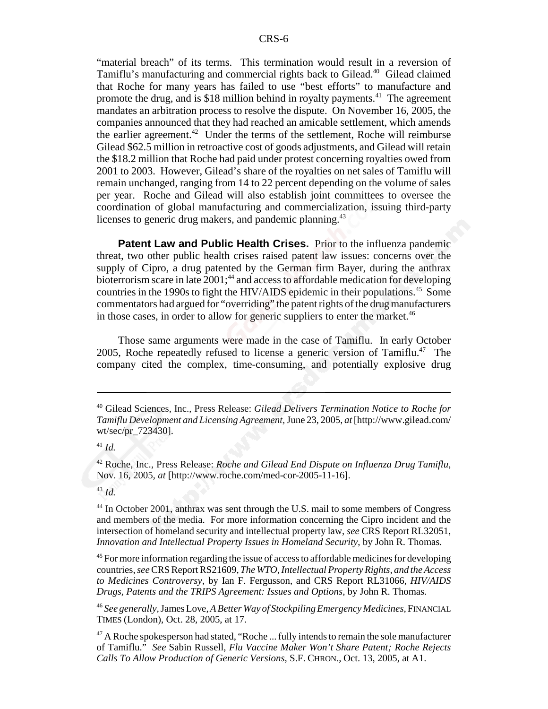"material breach" of its terms. This termination would result in a reversion of Tamiflu's manufacturing and commercial rights back to Gilead.<sup>40</sup> Gilead claimed that Roche for many years has failed to use "best efforts" to manufacture and promote the drug, and is \$18 million behind in royalty payments.<sup>41</sup> The agreement mandates an arbitration process to resolve the dispute. On November 16, 2005, the companies announced that they had reached an amicable settlement, which amends the earlier agreement.<sup>42</sup> Under the terms of the settlement, Roche will reimburse Gilead \$62.5 million in retroactive cost of goods adjustments, and Gilead will retain the \$18.2 million that Roche had paid under protest concerning royalties owed from 2001 to 2003. However, Gilead's share of the royalties on net sales of Tamiflu will remain unchanged, ranging from 14 to 22 percent depending on the volume of sales per year. Roche and Gilead will also establish joint committees to oversee the coordination of global manufacturing and commercialization, issuing third-party licenses to generic drug makers, and pandemic planning.<sup>43</sup>

**Patent Law and Public Health Crises.** Prior to the influenza pandemic threat, two other public health crises raised patent law issues: concerns over the supply of Cipro, a drug patented by the German firm Bayer, during the anthrax bioterrorism scare in late  $2001$ ;<sup>44</sup> and access to affordable medication for developing countries in the 1990s to fight the HIV/AIDS epidemic in their populations.<sup>45</sup> Some commentators had argued for "overriding" the patent rights of the drug manufacturers in those cases, in order to allow for generic suppliers to enter the market.<sup>46</sup>

Those same arguments were made in the case of Tamiflu. In early October 2005, Roche repeatedly refused to license a generic version of Tamiflu.<sup>47</sup> The company cited the complex, time-consuming, and potentially explosive drug

<sup>40</sup> Gilead Sciences, Inc., Press Release: *Gilead Delivers Termination Notice to Roche for Tamiflu Development and Licensing Agreement,* June 23, 2005, *at* [http://www.gilead.com/ wt/sec/pr\_723430].

<sup>41</sup> *Id.*

<sup>42</sup> Roche, Inc., Press Release: *Roche and Gilead End Dispute on Influenza Drug Tamiflu*, Nov. 16, 2005, *at* [http://www.roche.com/med-cor-2005-11-16].

<sup>43</sup> *Id.*

<sup>&</sup>lt;sup>44</sup> In October 2001, anthrax was sent through the U.S. mail to some members of Congress and members of the media. For more information concerning the Cipro incident and the intersection of homeland security and intellectual property law, *see* CRS Report RL32051, *Innovation and Intellectual Property Issues in Homeland Security*, by John R. Thomas.

<sup>&</sup>lt;sup>45</sup> For more information regarding the issue of access to affordable medicines for developing countries, *see* CRS Report RS21609, *The WTO, Intellectual Property Rights, and the Access to Medicines Controversy*, by Ian F. Fergusson, and CRS Report RL31066, *HIV/AIDS Drugs, Patents and the TRIPS Agreement: Issues and Options*, by John R. Thomas.

<sup>46</sup> *See generally,* James Love, *A Better Way of Stockpiling Emergency Medicines,* FINANCIAL TIMES (London), Oct. 28, 2005, at 17.

 $47$  A Roche spokesperson had stated, "Roche ... fully intends to remain the sole manufacturer of Tamiflu." *See* Sabin Russell, *Flu Vaccine Maker Won't Share Patent; Roche Rejects Calls To Allow Production of Generic Versions,* S.F. CHRON., Oct. 13, 2005, at A1.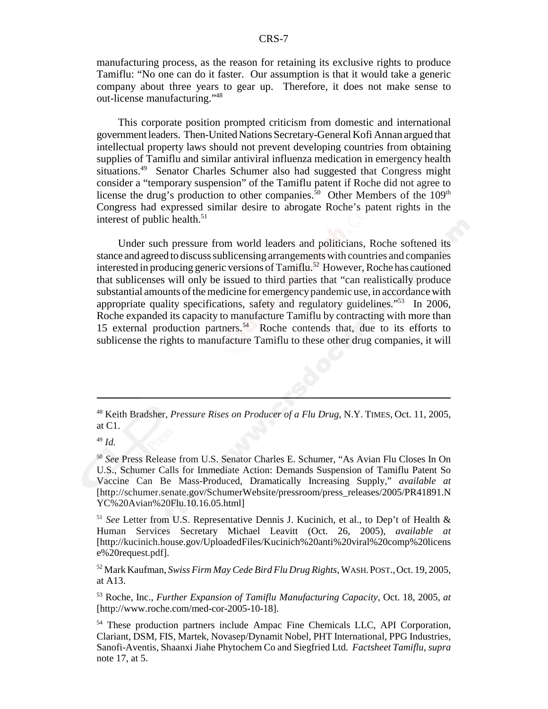manufacturing process, as the reason for retaining its exclusive rights to produce Tamiflu: "No one can do it faster. Our assumption is that it would take a generic company about three years to gear up. Therefore, it does not make sense to out-license manufacturing."48

This corporate position prompted criticism from domestic and international government leaders. Then-United Nations Secretary-General Kofi Annan argued that intellectual property laws should not prevent developing countries from obtaining supplies of Tamiflu and similar antiviral influenza medication in emergency health situations.<sup>49</sup> Senator Charles Schumer also had suggested that Congress might consider a "temporary suspension" of the Tamiflu patent if Roche did not agree to license the drug's production to other companies.<sup>50</sup> Other Members of the 109<sup>th</sup> Congress had expressed similar desire to abrogate Roche's patent rights in the interest of public health. $51$ 

Under such pressure from world leaders and politicians, Roche softened its stance and agreed to discuss sublicensing arrangements with countries and companies interested in producing generic versions of Tamiflu.<sup>52</sup> However, Roche has cautioned that sublicenses will only be issued to third parties that "can realistically produce substantial amounts of the medicine for emergency pandemic use, in accordance with appropriate quality specifications, safety and regulatory guidelines."53 In 2006, Roche expanded its capacity to manufacture Tamiflu by contracting with more than 15 external production partners.54 Roche contends that, due to its efforts to sublicense the rights to manufacture Tamiflu to these other drug companies, it will

<sup>49</sup> *Id.*

<sup>51</sup> *See* Letter from U.S. Representative Dennis J. Kucinich, et al., to Dep't of Health & Human Services Secretary Michael Leavitt (Oct. 26, 2005), *available at* [http://kucinich.house.gov/UploadedFiles/Kucinich%20anti%20viral%20comp%20licens e%20request.pdf].

52 Mark Kaufman, *Swiss Firm May Cede Bird Flu Drug Rights*, WASH.POST.,Oct. 19, 2005, at A13.

53 Roche, Inc., *Further Expansion of Tamiflu Manufacturing Capacity,* Oct. 18, 2005, *at* [http://www.roche.com/med-cor-2005-10-18].

54 These production partners include Ampac Fine Chemicals LLC, API Corporation, Clariant, DSM, FIS, Martek, Novasep/Dynamit Nobel, PHT International, PPG Industries, Sanofi-Aventis, Shaanxi Jiahe Phytochem Co and Siegfried Ltd. *Factsheet Tamiflu, supra* note 17, at 5.

<sup>48</sup> Keith Bradsher, *Pressure Rises on Producer of a Flu Drug,* N.Y. TIMES, Oct. 11, 2005, at C1.

<sup>50</sup> *See* Press Release from U.S. Senator Charles E. Schumer, "As Avian Flu Closes In On U.S., Schumer Calls for Immediate Action: Demands Suspension of Tamiflu Patent So Vaccine Can Be Mass-Produced, Dramatically Increasing Supply," *available at* [http://schumer.senate.gov/SchumerWebsite/pressroom/press\_releases/2005/PR41891.N YC%20Avian%20Flu.10.16.05.html]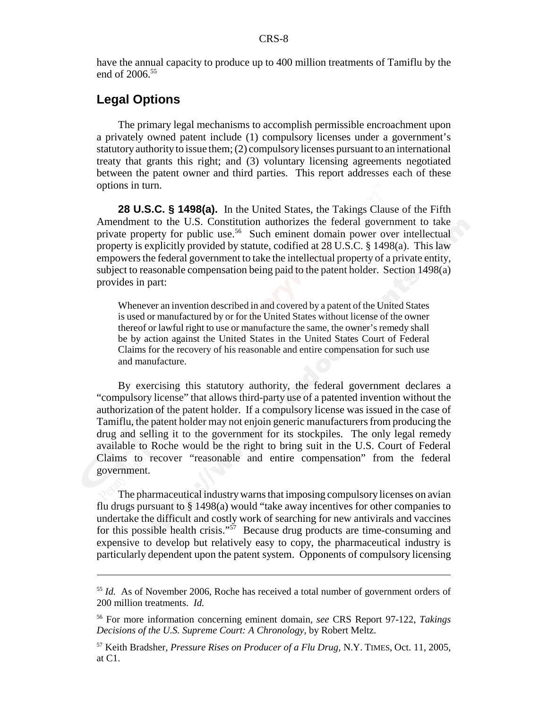have the annual capacity to produce up to 400 million treatments of Tamiflu by the end of 2006.<sup>55</sup>

### **Legal Options**

The primary legal mechanisms to accomplish permissible encroachment upon a privately owned patent include (1) compulsory licenses under a government's statutory authority to issue them; (2) compulsory licenses pursuant to an international treaty that grants this right; and (3) voluntary licensing agreements negotiated between the patent owner and third parties. This report addresses each of these options in turn.

**28 U.S.C. § 1498(a).** In the United States, the Takings Clause of the Fifth Amendment to the U.S. Constitution authorizes the federal government to take private property for public use.<sup>56</sup> Such eminent domain power over intellectual property is explicitly provided by statute, codified at 28 U.S.C. § 1498(a). This law empowers the federal government to take the intellectual property of a private entity, subject to reasonable compensation being paid to the patent holder. Section 1498(a) provides in part:

Whenever an invention described in and covered by a patent of the United States is used or manufactured by or for the United States without license of the owner thereof or lawful right to use or manufacture the same, the owner's remedy shall be by action against the United States in the United States Court of Federal Claims for the recovery of his reasonable and entire compensation for such use and manufacture.

By exercising this statutory authority, the federal government declares a "compulsory license" that allows third-party use of a patented invention without the authorization of the patent holder. If a compulsory license was issued in the case of Tamiflu, the patent holder may not enjoin generic manufacturers from producing the drug and selling it to the government for its stockpiles. The only legal remedy available to Roche would be the right to bring suit in the U.S. Court of Federal Claims to recover "reasonable and entire compensation" from the federal government.

The pharmaceutical industry warns that imposing compulsory licenses on avian flu drugs pursuant to § 1498(a) would "take away incentives for other companies to undertake the difficult and costly work of searching for new antivirals and vaccines for this possible health crisis."<sup>57</sup> Because drug products are time-consuming and expensive to develop but relatively easy to copy, the pharmaceutical industry is particularly dependent upon the patent system. Opponents of compulsory licensing

<sup>55</sup> *Id.* As of November 2006, Roche has received a total number of government orders of 200 million treatments. *Id.*

<sup>56</sup> For more information concerning eminent domain, *see* CRS Report 97-122, *Takings Decisions of the U.S. Supreme Court: A Chronology,* by Robert Meltz.

<sup>57</sup> Keith Bradsher, *Pressure Rises on Producer of a Flu Drug,* N.Y. TIMES, Oct. 11, 2005, at C1.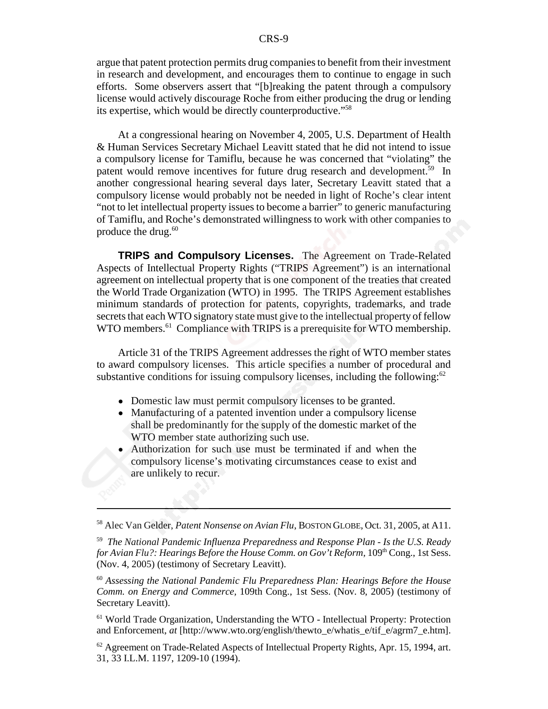argue that patent protection permits drug companies to benefit from their investment in research and development, and encourages them to continue to engage in such efforts. Some observers assert that "[b]reaking the patent through a compulsory license would actively discourage Roche from either producing the drug or lending its expertise, which would be directly counterproductive.<sup>558</sup>

At a congressional hearing on November 4, 2005, U.S. Department of Health & Human Services Secretary Michael Leavitt stated that he did not intend to issue a compulsory license for Tamiflu, because he was concerned that "violating" the patent would remove incentives for future drug research and development.<sup>59</sup> In another congressional hearing several days later, Secretary Leavitt stated that a compulsory license would probably not be needed in light of Roche's clear intent "not to let intellectual property issues to become a barrier" to generic manufacturing of Tamiflu, and Roche's demonstrated willingness to work with other companies to produce the drug. $60$ 

**TRIPS and Compulsory Licenses.** The Agreement on Trade-Related Aspects of Intellectual Property Rights ("TRIPS Agreement") is an international agreement on intellectual property that is one component of the treaties that created the World Trade Organization (WTO) in 1995. The TRIPS Agreement establishes minimum standards of protection for patents, copyrights, trademarks, and trade secrets that each WTO signatory state must give to the intellectual property of fellow WTO members.<sup>61</sup> Compliance with TRIPS is a prerequisite for WTO membership.

Article 31 of the TRIPS Agreement addresses the right of WTO member states to award compulsory licenses. This article specifies a number of procedural and substantive conditions for issuing compulsory licenses, including the following: $62$ 

- Domestic law must permit compulsory licenses to be granted.
- Manufacturing of a patented invention under a compulsory license shall be predominantly for the supply of the domestic market of the WTO member state authorizing such use.
- Authorization for such use must be terminated if and when the compulsory license's motivating circumstances cease to exist and are unlikely to recur.

<sup>58</sup> Alec Van Gelder, *Patent Nonsense on Avian Flu*, BOSTON GLOBE, Oct. 31, 2005, at A11.

<sup>59</sup> *The National Pandemic Influenza Preparedness and Response Plan - Is the U.S. Ready for Avian Flu?: Hearings Before the House Comm. on Gov't Reform,* 109<sup>th</sup> Cong., 1st Sess. (Nov. 4, 2005) (testimony of Secretary Leavitt).

<sup>60</sup> *Assessing the National Pandemic Flu Preparedness Plan: Hearings Before the House Comm. on Energy and Commerce,* 109th Cong., 1st Sess. (Nov. 8, 2005) (testimony of Secretary Leavitt).

<sup>61</sup> World Trade Organization, Understanding the WTO - Intellectual Property: Protection and Enforcement, *at* [http://www.wto.org/english/thewto\_e/whatis\_e/tif\_e/agrm7\_e.htm].

 $62$  Agreement on Trade-Related Aspects of Intellectual Property Rights, Apr. 15, 1994, art. 31, 33 I.L.M. 1197, 1209-10 (1994).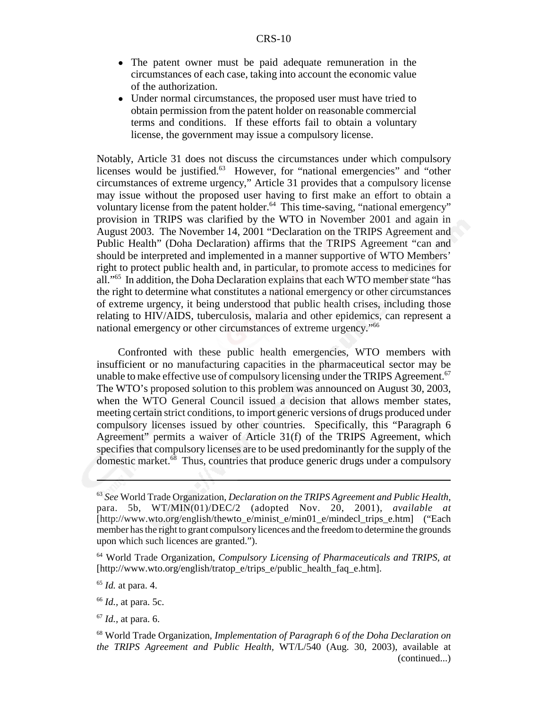- The patent owner must be paid adequate remuneration in the circumstances of each case, taking into account the economic value of the authorization.
- Under normal circumstances, the proposed user must have tried to obtain permission from the patent holder on reasonable commercial terms and conditions. If these efforts fail to obtain a voluntary license, the government may issue a compulsory license.

Notably, Article 31 does not discuss the circumstances under which compulsory licenses would be justified.<sup>63</sup> However, for "national emergencies" and "other circumstances of extreme urgency," Article 31 provides that a compulsory license may issue without the proposed user having to first make an effort to obtain a voluntary license from the patent holder.<sup>64</sup> This time-saving, "national emergency" provision in TRIPS was clarified by the WTO in November 2001 and again in August 2003. The November 14, 2001 "Declaration on the TRIPS Agreement and Public Health" (Doha Declaration) affirms that the TRIPS Agreement "can and should be interpreted and implemented in a manner supportive of WTO Members' right to protect public health and, in particular, to promote access to medicines for all."65 In addition, the Doha Declaration explains that each WTO member state "has the right to determine what constitutes a national emergency or other circumstances of extreme urgency, it being understood that public health crises, including those relating to HIV/AIDS, tuberculosis, malaria and other epidemics, can represent a national emergency or other circumstances of extreme urgency."66

Confronted with these public health emergencies, WTO members with insufficient or no manufacturing capacities in the pharmaceutical sector may be unable to make effective use of compulsory licensing under the TRIPS Agreement.<sup>67</sup> The WTO's proposed solution to this problem was announced on August 30, 2003, when the WTO General Council issued a decision that allows member states, meeting certain strict conditions, to import generic versions of drugs produced under compulsory licenses issued by other countries. Specifically, this "Paragraph 6 Agreement" permits a waiver of Article 31(f) of the TRIPS Agreement, which specifies that compulsory licenses are to be used predominantly for the supply of the domestic market. $68$  Thus, countries that produce generic drugs under a compulsory

<sup>65</sup> *Id.* at para. 4.

<sup>66</sup> *Id.,* at para. 5c.

<sup>67</sup> *Id.,* at para. 6.

<sup>63</sup> *See* World Trade Organization, *Declaration on the TRIPS Agreement and Public Health,* para. 5b, WT/MIN(01)/DEC/2 (adopted Nov. 20, 2001), *available at* [http://www.wto.org/english/thewto\_e/minist\_e/min01\_e/mindecl\_trips\_e.htm] ("Each member has the right to grant compulsory licences and the freedom to determine the grounds upon which such licences are granted.").

<sup>64</sup> World Trade Organization, *Compulsory Licensing of Pharmaceuticals and TRIPS, at* [http://www.wto.org/english/tratop\_e/trips\_e/public\_health\_faq\_e.htm].

<sup>68</sup> World Trade Organization, *Implementation of Paragraph 6 of the Doha Declaration on the TRIPS Agreement and Public Health,* WT/L/540 (Aug. 30, 2003), available at (continued...)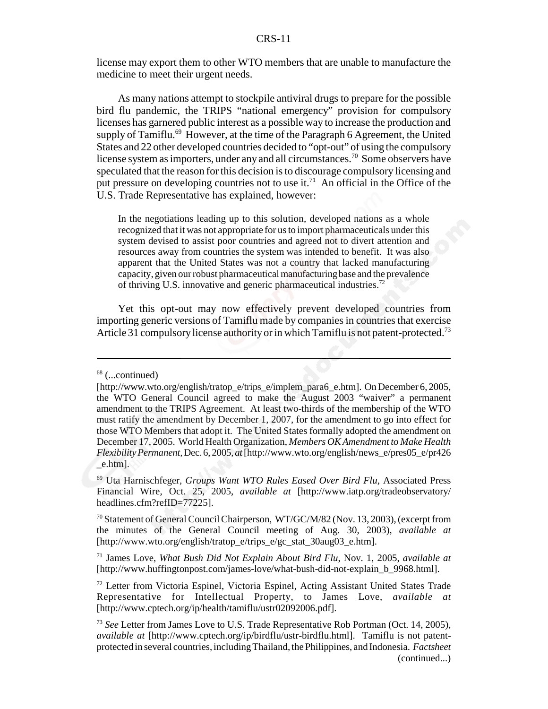license may export them to other WTO members that are unable to manufacture the medicine to meet their urgent needs.

As many nations attempt to stockpile antiviral drugs to prepare for the possible bird flu pandemic, the TRIPS "national emergency" provision for compulsory licenses has garnered public interest as a possible way to increase the production and supply of Tamiflu.<sup>69</sup> However, at the time of the Paragraph 6 Agreement, the United States and 22 other developed countries decided to "opt-out" of using the compulsory license system as importers, under any and all circumstances.<sup>70</sup> Some observers have speculated that the reason for this decision is to discourage compulsory licensing and put pressure on developing countries not to use it.<sup>71</sup> An official in the Office of the U.S. Trade Representative has explained, however:

In the negotiations leading up to this solution, developed nations as a whole recognized that it was not appropriate for us to import pharmaceuticals under this system devised to assist poor countries and agreed not to divert attention and resources away from countries the system was intended to benefit. It was also apparent that the United States was not a country that lacked manufacturing capacity, given our robust pharmaceutical manufacturing base and the prevalence of thriving U.S. innovative and generic pharmaceutical industries.72

Yet this opt-out may now effectively prevent developed countries from importing generic versions of Tamiflu made by companies in countries that exercise Article 31 compulsory license authority or in which Tamiflu is not patent-protected.<sup>73</sup>

 $68$  (...continued)

<sup>[</sup>http://www.wto.org/english/tratop\_e/trips\_e/implem\_para6\_e.htm]. On December 6, 2005, the WTO General Council agreed to make the August 2003 "waiver" a permanent amendment to the TRIPS Agreement. At least two-thirds of the membership of the WTO must ratify the amendment by December 1, 2007, for the amendment to go into effect for those WTO Members that adopt it. The United States formally adopted the amendment on December 17, 2005. World Health Organization, *Members OK Amendment to Make Health Flexibility Permanent,* Dec. 6, 2005, *at* [http://www.wto.org/english/news\_e/pres05\_e/pr426  $e.html$ .

<sup>69</sup> Uta Harnischfeger, *Groups Want WTO Rules Eased Over Bird Flu*, Associated Press Financial Wire, Oct. 25, 2005, *available at* [http://www.iatp.org/tradeobservatory/ headlines.cfm?refID=77225].

<sup>70</sup> Statement of General Council Chairperson*,* WT/GC/M/82 (Nov. 13, 2003), (excerpt from the minutes of the General Council meeting of Aug. 30, 2003), *available at* [http://www.wto.org/english/tratop\_e/trips\_e/gc\_stat\_30aug03\_e.htm].

<sup>71</sup> James Love, *What Bush Did Not Explain About Bird Flu*, Nov. 1, 2005, *available at* [http://www.huffingtonpost.com/james-love/what-bush-did-not-explain\_b\_9968.html].

<sup>72</sup> Letter from Victoria Espinel, Victoria Espinel, Acting Assistant United States Trade Representative for Intellectual Property, to James Love, *available at* [http://www.cptech.org/ip/health/tamiflu/ustr02092006.pdf].

<sup>73</sup> *See* Letter from James Love to U.S. Trade Representative Rob Portman (Oct. 14, 2005), *available at* [http://www.cptech.org/ip/birdflu/ustr-birdflu.html]. Tamiflu is not patentprotected in several countries, including Thailand, the Philippines, and Indonesia. *Factsheet* (continued...)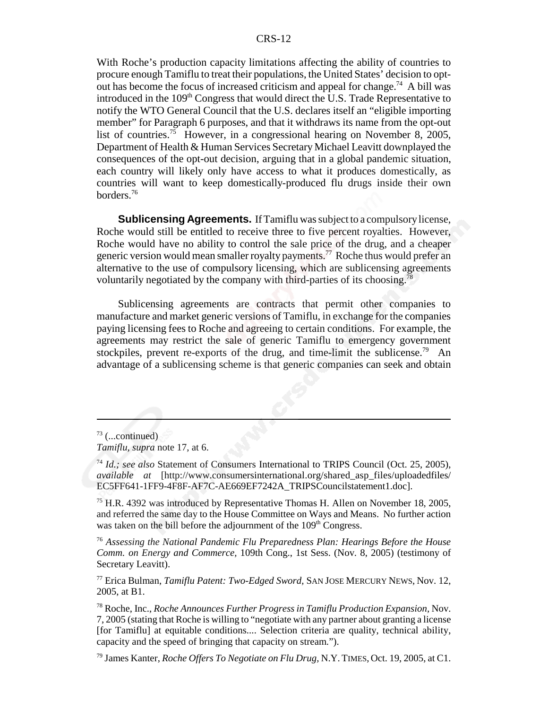With Roche's production capacity limitations affecting the ability of countries to procure enough Tamiflu to treat their populations, the United States' decision to optout has become the focus of increased criticism and appeal for change.<sup>74</sup> A bill was introduced in the 109<sup>th</sup> Congress that would direct the U.S. Trade Representative to notify the WTO General Council that the U.S. declares itself an "eligible importing member" for Paragraph 6 purposes, and that it withdraws its name from the opt-out list of countries.<sup>75</sup> However, in a congressional hearing on November 8, 2005, Department of Health & Human Services Secretary Michael Leavitt downplayed the consequences of the opt-out decision, arguing that in a global pandemic situation, each country will likely only have access to what it produces domestically, as countries will want to keep domestically-produced flu drugs inside their own borders.76

**Sublicensing Agreements.** If Tamiflu was subject to a compulsory license, Roche would still be entitled to receive three to five percent royalties. However, Roche would have no ability to control the sale price of the drug, and a cheaper generic version would mean smaller royalty payments.77 Roche thus would prefer an alternative to the use of compulsory licensing, which are sublicensing agreements voluntarily negotiated by the company with third-parties of its choosing.<sup>78</sup>

Sublicensing agreements are contracts that permit other companies to manufacture and market generic versions of Tamiflu, in exchange for the companies paying licensing fees to Roche and agreeing to certain conditions. For example, the agreements may restrict the sale of generic Tamiflu to emergency government stockpiles, prevent re-exports of the drug, and time-limit the sublicense.<sup>79</sup> An advantage of a sublicensing scheme is that generic companies can seek and obtain

<sup>75</sup> H.R. 4392 was introduced by Representative Thomas H. Allen on November 18, 2005, and referred the same day to the House Committee on Ways and Means. No further action was taken on the bill before the adjournment of the 109<sup>th</sup> Congress.

<sup>76</sup> *Assessing the National Pandemic Flu Preparedness Plan: Hearings Before the House Comm. on Energy and Commerce,* 109th Cong., 1st Sess. (Nov. 8, 2005) (testimony of Secretary Leavitt).

77 Erica Bulman, *Tamiflu Patent: Two-Edged Sword,* SAN JOSE MERCURY NEWS, Nov. 12, 2005, at B1.

78 Roche, Inc., *Roche Announces Further Progress in Tamiflu Production Expansion,* Nov. 7, 2005 (stating that Roche is willing to "negotiate with any partner about granting a license [for Tamiflu] at equitable conditions.... Selection criteria are quality, technical ability, capacity and the speed of bringing that capacity on stream.").

 $73$  (...continued)

*Tamiflu, supra* note 17, at 6.

<sup>74</sup> *Id.; see also* Statement of Consumers International to TRIPS Council (Oct. 25, 2005), *available at* [http://www.consumersinternational.org/shared\_asp\_files/uploadedfiles/ EC5FF641-1FF9-4F8F-AF7C-AE669EF7242A\_TRIPSCouncilstatement1.doc].

<sup>79</sup> James Kanter, *Roche Offers To Negotiate on Flu Drug,* N.Y. TIMES, Oct. 19, 2005, at C1.